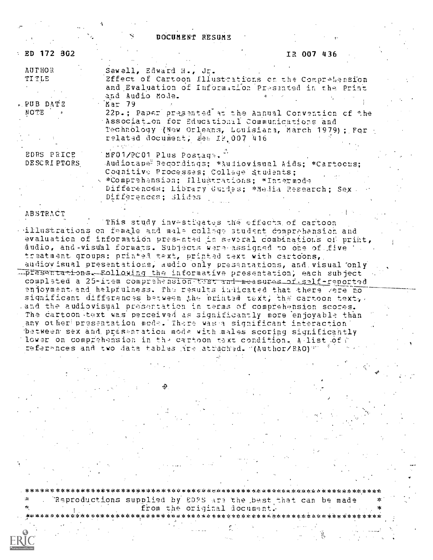DOCUMENT RESUME

| $\pm$ ED 172 362 | IR 007 436                                                                               |  |
|------------------|------------------------------------------------------------------------------------------|--|
| <b>AUTHOR</b>    | Sewell, Edward H., Jr.                                                                   |  |
| <b>TITLE</b>     | Effect of Cartoon Illustrations on the Comprehension                                     |  |
|                  | and Evaluation of Information Presented in the Print                                     |  |
|                  | and Audio Mode.                                                                          |  |
| - PUB DATE       | Mar 79                                                                                   |  |
| NOTE .           | 22p.; Paper presented at the Annual Convention of the                                    |  |
|                  | Association for Educational Communications and                                           |  |
|                  | Technology (New Orleans, Louisiana, March 1979); For<br>related document, see 18,007,416 |  |
|                  |                                                                                          |  |
| EDRS PRICE       | 'MF01/PC01 Plus Postaga.'                                                                |  |
| DESCRIPTORS      | Audiotape <sup>9</sup> Recordings; *Audiovisual Aids; *Cartocus;                         |  |
|                  | Coqnitive Processes; Collage Students;                                                   |  |
|                  | « *Comprehension; Illustrations; *Intermode                                              |  |
|                  | Differences; Library Guides; *Nedia Research; Sex.<br>Differences; Slides                |  |

#### ABSTRACT

This study investigates the effects of cartoon illustrations on female and male college student comprehension and evaluation of information presented in several combinations of print, audio, and visual formats. Subjects were assigned to one of five . treatment groups: printed text, printed text with cartoons, audiovisual presentations, audio only presentations, and visual only  $\overline{\text{L}}$  presentations. Following the informative presentation, each subject completed a 25-item comprehension tost and measures of salf-reported enjoyment and helpfulness. The results indicated that there , ere no significant differences between the printed text; the cartoon text; cand the audiovisual presentation in terms of comprehension scores. The cartoon text was perceived as significantly more enjoyable than any other presentation mode. There was a significant interaction between sex and presentation mode with males scoring significantly lower on comprahension in the cartoon text condition. A list of ; references and two data tables .ire attached. (Author/RAO) =

. 'Reproductions supplied by EDPS .--tzn the \_best that can be made \*

from the original document. . \* 1,4,\*\*\*\*\*\*\*\*\*\*\*\*,x\*\*.\*\*\*\*\*,\*\*\*\*\*.\*\*\*\*\*\*\*\*\*\*\*,:5\*\*\*\*\*\*\*i:\*\*\*\*\*\*\*\*\*\*\*\*\*\*\*\*\*\*i(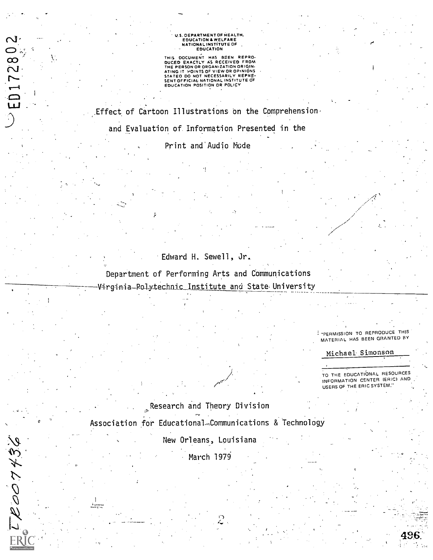# U.S. OEPARTMENT OF HEALTH,<br>EDUCATION & WELFARE<br>NATIONAL INSTITUTE OF<br>COUCATION

THIS DOCUMENT HAS BEEN REPRO-<br>DUCED EXACTLY AS RECEIVED FROM<br>THE PERSON OR ORGANIZATION ORIGIN-<br>ATING IT POINTS OF VIEW OR OPINIONS<br>STATEO DO NOT NECESSARILY REPRE-<br>SENTOFFICIAL NATIONAL INSTITUTE OF<br>EDUCATION POSITION OR

.Effect of Cartoon Illustrations on the Comprehension, and Evaluation of. Information Presented in the

Print and'Audio Mode

### Edward H. Sewell, Jr.

ang pangalang pangalang pangalang.<br>Pangalang

Department of Performing Arts and Communications Virginia—Polytechni<u>c Institute and</u> State University

> PERMISSION TO REPRODUCE THIS MATERIAL HAS BEEN GRANTED BY

Michael Simonson

TO THE EDUCATIONAL RESOURCES INFORMATION CENTER (ERIC) AND USERS OF THE ERIC SYSTEM.

Research and Theory Division Association for Educational Communications & Technology

 $\sigma$   $\sim$   $\sim$ 

TR007436

ERI

 $-$  ED172802

New Orleans, Louisiana

March 1979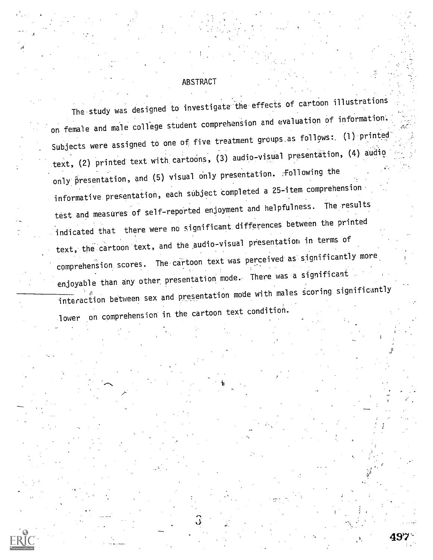#### ABSTRACT

/;

The study was designed to investigate the effects of cartoon illustrations on female and male college student comprehension and evaluation of information. Subjects were assigned to one of five treatment groups as follows:  $(1)$  printed: text, (2) printed text with cartoons, (3) audio-visual presentation, (4) audio. only presentation, and (5) visual only presentation. :Following the informative presentation, each subject completed a 25-item comprehension. test and measures of self-reported enjoyment and helpfulness. The results indicated that there were no significant.differences between the printed text, the cartoon text, and the audio-visual presentation in terms of comprehension scores. The cartoon text was perceived-as significantly more enjoyable than any other presentation mode. There was a significant interaction between sex and presentation mode with males scoring significantly lower on comprehension in the cartoon text condition.

497...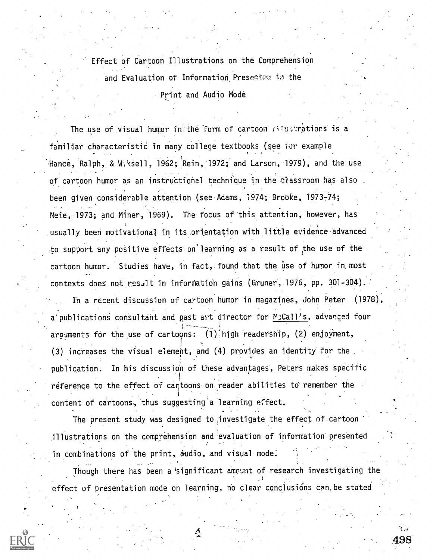Effect of Cartoon Illustrations on the Comprehension and Evaluation of Information Presenter in the Print and Audio Mode

The use of visual humor in the form of cartoon  $\mathcal{C}$  extrations is a familiar characteristic in many college textbooks (see for example Hance, Ralph, & W. \sell, 1962; Rein, 1972; and Larson, 1979), and the use of cartoon humor as an instructional technique in the classroom has also been given considerable attention (see Adams, 1974; Brooke, 1973-74; Neie, 1973; and Miner, 1969). The focus of this attention, however, has .usually been motivational in its orientation with little evidence-advanced to support any positive effects on learning as a result of the use of the cartoon humor. Studies have, in fact, found that the use of humor in most contexts does not res.it in information gains (Gruner, 1976, pp. 301-304). In a recent discussion of cattoon humor in magazines, John Peter (1978), a publications consultant and past art director for MeCall's, advanced four arguments for the use of cartoons: (1) high readership, (2) enjoyment, (3) increases the visual element, and (4) provides an identity for the . publication. In his discussion of these advantages, Peters makes specific reference to the effect of cantoons on reader abilities to remember the content of cartoons, thus suggesting a learning effect.

The present study was designed to investigate the effect nf.cartoon :illustrations on the comprehension and evaluation of information presented in combinations of the print, audio, and visual mode.

Though there has been a 'significant amount of research investigating the effect of presentation mode on learning, no clear conclusions can be stated

 $\frac{\alpha}{2}$  498

 $\mathbf{S}^{(1)}$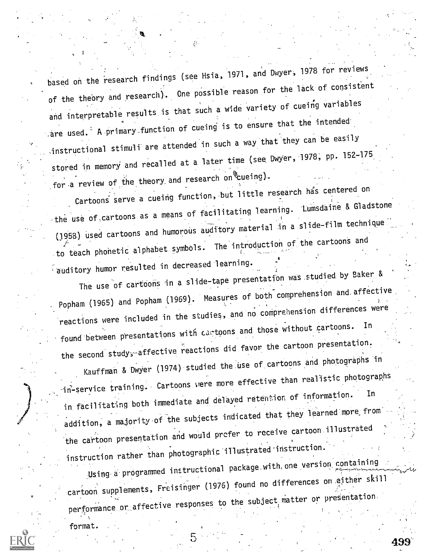based on the research findings (see Hsia, 1971, and Dwyer, 1978 for reviews of the theory and research). One possible reason for the lack of consistent and interpretable results is that such a wide variety of cueing variables are used. $-$  A primary function of cueing is to ensure that the intended -instructional stimuli- are attended in such a way that they can be easily stored in memory and recalled at a later time (see Dwyer, 1978, pp. 152-175 for a review of the theory and research on  $\mathscr{E}_{\text{c}}$ ueing).

Cartoons serve a cueing function, but little research has centered on the use of cartoons as a means of facilitating learning. Lumsdaine & Gladstone (1958) used cartoons and humorous auditory material in a slide-film technique to teach phonetic alphabet symbols. The introduction of the cartoons and 'auditory humor resulted in decreased learning.

The use of cartoons in a slide-tape presentation was studied by Baker & Popham (1965) and Popham (1969). Measures of both comprehension and. affective reactions were included in the studies, and no comprehension differences were found between presentations with cartoons and those without cartoons. the second study; affective readers.  $\frac{1}{2}$  reactions did favor the cartoon presentation.

Kauffman & Dwyer (1974) studied the use of cartoons and photographs in in-service training. Cartoons were more effective than realistic photographs in facilitating both immediate and delayed retention of information. In addition, a majority of the subjects indicated that they learned more from the cartoon presentation and would profer to receive cartoon illustrated instruction rather than photographic illustrated-instruction.'

Using a programmed instructional package with one version containing cartoon supplements, Freisinger (1976) found no differences on either skill performance or affective responses to the subject matter or presentation.

499'

format. .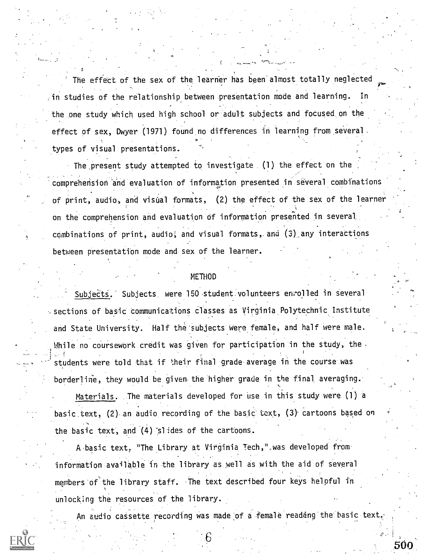The effect of the sex of the learner has been almost totally neglected :in studies of the relationship between presentation mode and learning. In the one study which used high school or adult subjects and focused, on the effect of sex, Dwyer (1971) found no differences in learning from several. .types of visual presentations.

The present study attempted to investigate (1) the effect on the comprehension and evaluation of information presented in several combinations of print, audio, and visual formats, (2) the effect of the sex of the learner on the comprehension and evaluation of information presented in several combinations of print, audio; and visual formats, and (3) any interactions between presentation mode and sex of the learner.

#### METHOI

a

. .

Subjects. Subjects were 150 student volunteers enrolled in several sections of basic communications classes as Virginia Polytechnic Institute. and State University. Half the'subjects were female, and half were male. . Thile no coursework credit was given for participation in the study, the . 1 students were told that if their final grade average in the course was borderline, they would be given the higher grade in the final averaging.

Materials. The materials developed for use in this study were (1) a basic text, (2) an audio, recording of the basic, text, (3) cartoons based on the basic text, and (4) 'slides of the cartoons.

A basic text, "The Library at Virginia Tech,",was developed from' information available in the library as well as with the aid of several members of'the library staff. The text described four keys helpful in unlock;ng the resources of the library.

An audio cassette recording was made of a female readœng the basic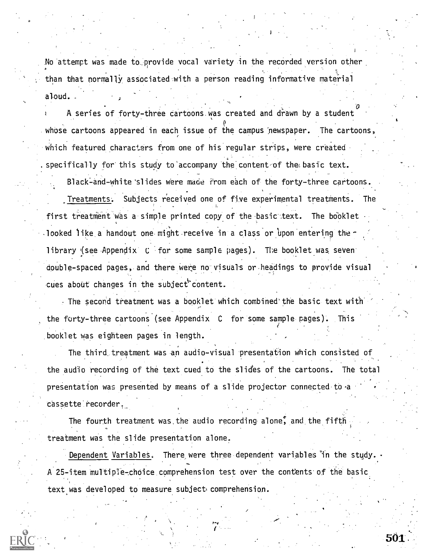No attempt was made to provide vocal variety in the recorded version other than that normally associated with a person reading informative material aloud. .

A series of forty-three cartoons was created and drawn by a student whose cartoons appeared in each issue of the campus newspaper. The cartoons, which featured characters from one of his regular strips, were created .specifically for this study to'accompany the content of the; basic text.

Black-and-white slides were made from each of the forty-three cartoons. Treatments; Subjects received one of five experimental treatments. The first treatment was a simple printed copy of the basic text. The booklet looked like a handout one might receive in a class or upon entering the library (see Appendix  $C$  for some sample pages). The booklet was seven. double-spaced pages, and there were no visuals or headings to provide visual cues about changes in the subject content.

The second treatment was a booklet which combined the basic text with the forty-three cartoons (see Appendix  $C$  for some sample pages). This .booklet was eighteen pages in length.

The third treatment was an audio-visual presentation which consisted of the audio recording of the text cued to the slides of the cartoons. The total presentation was presented by means of a slide projector connected to cassette recorder.

The fourth treatment was the audio recording alone, and the fifth treatment was the slide presentation alone.

Dependent Variables. There were three dependent variables in the study. A 25-item multiple-choice comprehension test over the contents of the basic text was developed to measure subject comprehension.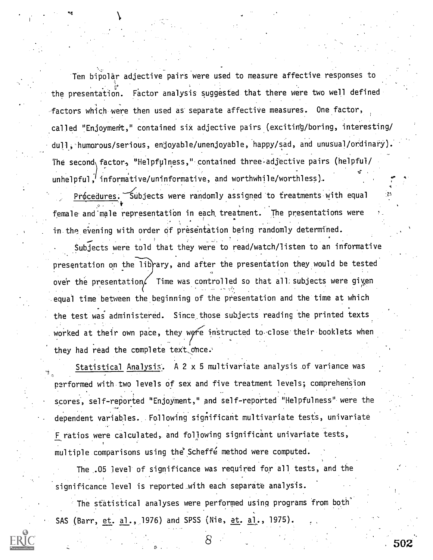Ten bipolar adjective pairs were used to measure affective responses to the presentation. Factor analysis suggested that there were two well defined factors which were then used as separate affective measures. One factor, called "Enjoyment," contained six adjective pairs (exciting/boring, interesting/ dull,'humorous/serious, enjoyable/unenjoyable, happy/sad, and unusual/ordinary). The second  $factor_2$  "Helpfulness," contained three adjective pairs (helpful/ unhelpful, informative/uninformative, and worthwhile/worthless). 4T 4

9,1

Prócedures. Subjects were randomly assigned to treatments with equal and female and male representation in each treatment. The presentations were in the evening with order of presentation being randomly determined.

Subjects were told that they were to read/watch/listen to an informative presentation on the library, and after the presentation they would be tested over the presentation. Time was controlled so that all; subjects were given equal time between the beginning of the presentation and the time at which the test was administered. Since those subjects reading the printed texts worked at their own pace, they were instructed to close their booklets when they had read the complete text once.

Statistical Analysis. A 2 x 5 multivariate analysis of variance was performed with two levels of sex and five treatment levels; comprehension . scores, self- reported "Enjoyment," and self-reported "Helpfulness". were the dependent variables. Following significant multivariate tests, univariate F ratios were calculated, and following significant univariate tests, multiple comparisons using the Scheffe method were computed.

The .05 level of significance was required for all tests, and the significance level is reported with each separate analysis.

The statistical analyses were performed using programs from both SAS (Barr, et. al., 1976) and SPSS (Nie, et. al., 1975).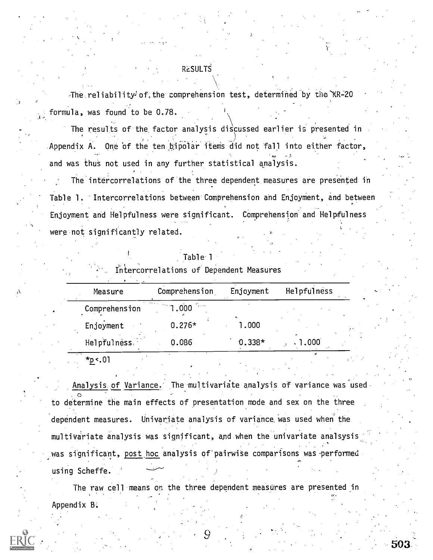### **RESULTS**

The reliability of the comprehension test, determined by the KR-20 formula, was found to be 0.78.

The results of the factor analysis discussed earlier is presented in Appendix A. One of the ten bipolar items did not fall into either factor, and was thus not used in any further statistical analysis.

The intercorrelations of the three dependent measures are presented in Table 1. Intercorrelations between Comprehension and Enjoyment, and between Enjoyment and Helpfulness were significant. Comprehension and Helpfulness were not significantly related.

|  | Table <sup>-</sup> |  |  |  |
|--|--------------------|--|--|--|
|  |                    |  |  |  |

Intercorrelations of Dependent Measures

| Measure       | Comprehension                                    | Enjoyment | Helpfulness |  |
|---------------|--------------------------------------------------|-----------|-------------|--|
| Comprehension | <b>Contract Contract</b><br><b>Salar</b><br>.000 |           |             |  |
| Enjoyment     | $0.276*$                                         | .000      |             |  |
| Helpfulness.  | 0.086                                            | $0.338*$  | .000        |  |
|               |                                                  |           |             |  |

\*2.<.01

Analysis of Variance. The multivariate analysis of variance was used.  $\circ$   $\circ$   $\circ$   $\circ$ to determine the main effects of presentation mode and sex on the three dependent measures. Univariate analysis of variance. was used when the multivariate analysis was significant, and when the univariate analsysis was significant, post hoc analysis of pairwise comparisons was performed using Scheffe.

The raw cell means on the three dependent measures are presented in Appendix B.

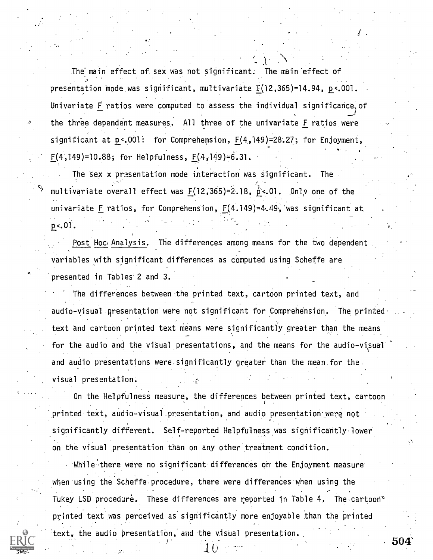The main effect of sex was not significant. The main effect of presentation mode was significant, multivariate F(12,365)=14.94, p<.001. Univariate F ratios were computed to assess the individual significance,of the three dependent measures. All three of the univariate F ratios were significant at  $p < .001$ : for Comprehension,  $F(4,149) = 28.27$ ; for Enjoyment, F(4,149)=10.88; for Helpfulness, F(4,149)=6.31.

0 , The sex  $x$  presentation mode interaction was significant. multivariate overall effect was  $F(12,365) = 2.18$ ,  $p < 01$ . Only one of the univariate F ratios, for Comprehension,  $F(4.149)=4.49$ , was significant at  $p<sub>0</sub>$ .

Post Hoc Analysis. The differences among means for the two dependent variables with significant differences as computed using Scheffe are presented in Tables' 2 and 3.

The differences between-the printed text, cartoon printed text, and audio-visual presentation were not significant for Comprehension. The printed' text and cartoon printed text means were significantly greater than the means for the audio and the visual presentations, and the means for the audio-visual and audio presentations were.significantly greater than the mean for the visual presentation.

On the Helpfulness measure, the differences between printed text, cartoon printed text, audio-visual presentation, and audio presentation were not significantly different. Self-reported Helpfulness was significantly lower on the visual presentation than on any other treatment condition.

While there were no significant differences on the Enjoyment measure when using the Scheffe procedure, there were differences when using the Tukey LSD procedure. These differences are reported in Table 4. The cartoon<sup>®</sup> printed text was perceived as significantly more enjoyable than the printed text, the audio presentation, and the visual presentation.

 $\tau$  city  $\tau$ 

504'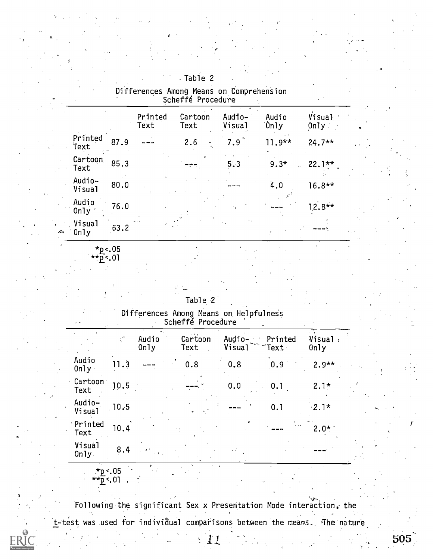|                  |               | Printed<br>Text | Cartoon<br>Text | Audio-<br>Visual | Audio<br>0nJy | Visual<br>0n1y | $\bullet$ |
|------------------|---------------|-----------------|-----------------|------------------|---------------|----------------|-----------|
| Printed<br>Text  | 87.9          |                 | 2.6             | 7.9              | $11.9**$      | $24.7**$       |           |
| Cartoon<br>Text  | 85.3          |                 |                 | 5.3              | $9.3*$        | $22.1**$       |           |
| Audio-<br>Visual | 80.0          |                 |                 |                  | 4.0           | $16.8**$       |           |
| Audio<br>Only    | 76.0          |                 |                 |                  |               | $12.8**$       |           |
| .Visual<br>0nly  | 63.2          |                 |                 |                  |               |                |           |
| $\mathbf{a}$     | $\sim$ $\sim$ |                 |                 |                  |               |                |           |

-Table 2 Differences Among Means on Comprehension Scheffé Procedure and Scheffe

| ™0<.U5             |  |
|--------------------|--|
| $*_{\bar{p}}$ < 01 |  |

o.

| Table 2 |  |  |
|---------|--|--|
|         |  |  |

Differences Among Means on. HelpfulneSs. Scheffe Procedure ´ .

|                    | $\frac{1}{2}S^2$ | Audio<br>0nly | Cartoon<br>Text | Visual | Audio- Printed<br>$\mathsf{``Text}~$ | Visual.<br>0nly |  |
|--------------------|------------------|---------------|-----------------|--------|--------------------------------------|-----------------|--|
| Audio<br>0n1y      | 11.3             |               | 0.8             | 0.8    | 0.9                                  | $2.9**$         |  |
| Cartoon<br>Text    | 10.5             |               |                 | 0.0    | 0.                                   | $2.1*$          |  |
| Audio-<br>Visual   | 10.5             |               |                 |        | 0.1                                  | $\cdot 2.1*$    |  |
| Printed<br>Text    | 10.4             |               |                 |        |                                      | $2.0*$          |  |
| Visual<br>$0nJy$ . | 8.4              |               |                 |        |                                      |                 |  |

\*p<.05 <sup></sup>ኮ^.01

Following the significant Sex x Presentation Mode interaction; the t-test was used for individual comparisons between the means. The nature

 $\setminus 11$ 

505

**ERIC**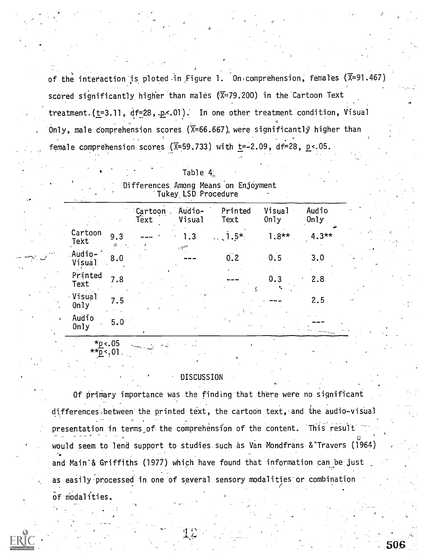of the interaction is ploted in Figure 1. On comprehension, females  $(\overline{X}=91.467)$ scored significantly higher than males  $(\overline{X} = 79.200)$  in the Cartoon Text treatment.  $(t=3.11, df=28, p<.01)$ . In one other treatment condition, Visual Only, male comprehension scores ( $\overline{X}$ =66.667) were significantly higher than female comprehension scores ( $\overline{X}$ =59.733) with t=-2.09, df=28, p<.05.

| Table 4. |  |  |
|----------|--|--|
|----------|--|--|

| $\mathbf{z}_1$ , $\mathbf{z}_2$ |           |                               | Tukey LSD Procedure             |                         |                |               |  |
|---------------------------------|-----------|-------------------------------|---------------------------------|-------------------------|----------------|---------------|--|
|                                 |           | <i><b>Cartoon</b></i><br>Text | Audio-<br>Visual                | Printed<br>Text         | Visual<br>0n1y | Audio<br>0nJy |  |
| Cartoon<br>Text                 | 9.3<br>シー |                               | 1.3<br>$\tau \lesssim 10^{-10}$ | $1.5*$<br>$\sim$ $\sim$ | $1.8**$        | $4.3**$       |  |
| Audio-<br>Visual                | 8.0       |                               |                                 | 0.2                     | 0.5            | 3.0           |  |
| Printed<br>Text                 | 7.8       |                               |                                 | Ñ.                      | 0.3            | 2.8           |  |
| · Visual<br>0nly                | 7.5       |                               |                                 |                         |                | .2.5          |  |
| Audio<br>0nly                   | 5.0       |                               |                                 |                         |                |               |  |
|                                 |           |                               |                                 |                         |                |               |  |

Differences. Among Means on. Enjoyment

### \*\*.p.<.01,

 $\gamma$ p. < . 05

#### DISCUSSION

Of primary importance was the finding that there were no significant differences between the printed text, the cartoon text, and the audio-visual presentation in terms of the comprehension of the content. This result  $\Box$ would seem to lend support to studies. such as Van Mondfrans-&"Travers (1964) and Main'& Griffiths (1977) which have found that information can be just as easily processed in one of several sensory modalities or combination of modalities.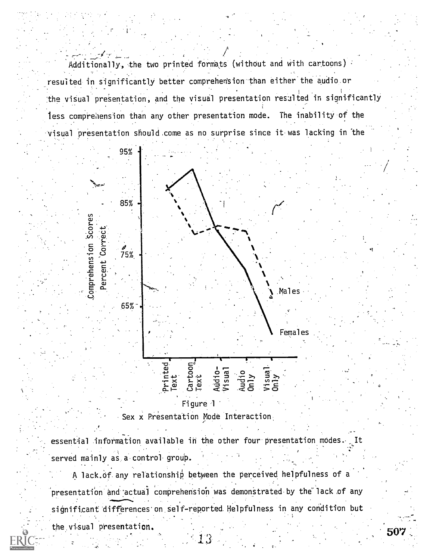Additionally, the two printed formats (without and with cartoons) resulted in significantly better comprehension than either the audio or the visual presentation, and the visual presentation resulted in significantly less comprehension than any other presentation mode. The inability of the visual presentation should come as no surprise since it was lacking in the



Figure 1 Sex x Presentation Mode Interaction.

essential information available in the other four presentation modes. served mainly as a control group.

A lack.Of any relationship between the perceived helpfulness of a 'presentation and 'actual comprehension was demonstrated by the"lack of any significant differences' on, self-reported Helpfulness in any condition but

 $3 - 3$ 

the visual presentation.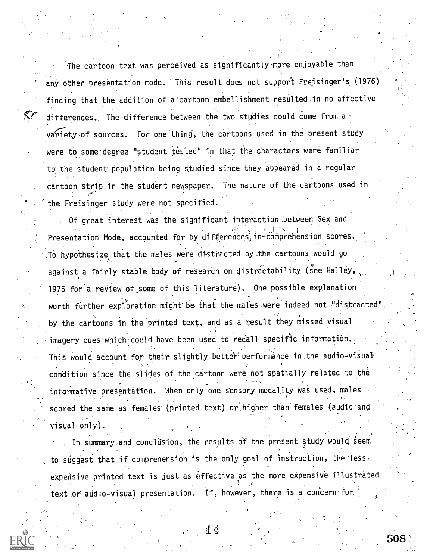The cartoon text was perceived as significantly. more enjoyable than any other presentation mode. This result does not support Freisinger's (1976) finding that the addition of a'cartoon embellishment resulted in no affective differences, The difference between the two studies could come from a variety of sources. For one thing, the cartoons used in the present study were to some degree "student tested" in that the characters were familiar to the student population being studied since they appeared in a regular cartoon strip in the student newspaper. The nature of the cartoons used in the Freisinger study were not specified.

Of great interest was the significant interaction between Sex and Presentation Mode, accounted for by differences in-comprehension scores.  $\blacksquare$ To hypothesize that the males were distracted by the cartoons.would.go against a fairly stable body of research on distractability (see Halley, 1975 for a review of\_some of this literature). One possible explanation worth further exploration might be that the males were indeed not "distracted" by the cartoons in the printed text, and as a result they missed visual imagery cues which could have been used to recall specific information. This would account for their slightly better performance in the audio-visual condition since the slides of the cartoon were not spatially related to the informative presentation. When only one sensory modality was used, males scored the same as females (printed text) or'higher than females (audio and visual only).

In summary and conclusion, the results of the present study would seem to suggest that if comprehension is the only goal of instruction, the less  $\cdot$ expensive printed text is just as effective as the more expensive illustrated  $\mathbb{Z}^2$  -  $\mathbb{Z}^2$  and  $\mathbb{Z}^2$  -  $\mathbb{Z}^2$ text or audio-visual presentation. If, however, there is a concern for  $\qquad \qquad \epsilon$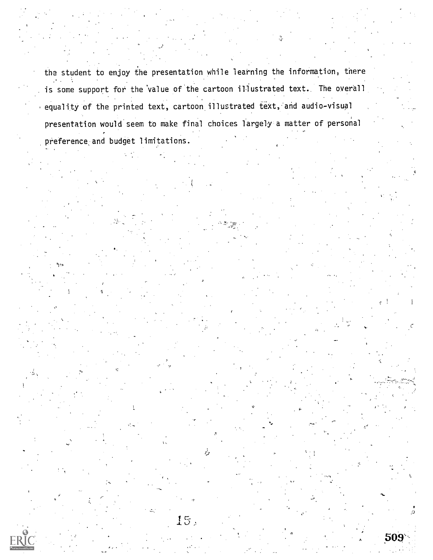the student to enjoy the presentation while learning the information, there is some support for the 'value of the cartoon illustrated text. The overall equality of the printed text, cartoon illustrated text, and audio-visual presentation would seem to make final choices largely a matter of personal preference and budget limitations.

15,

 $\phi$ 

9

O.( 509'.

LA COMPANY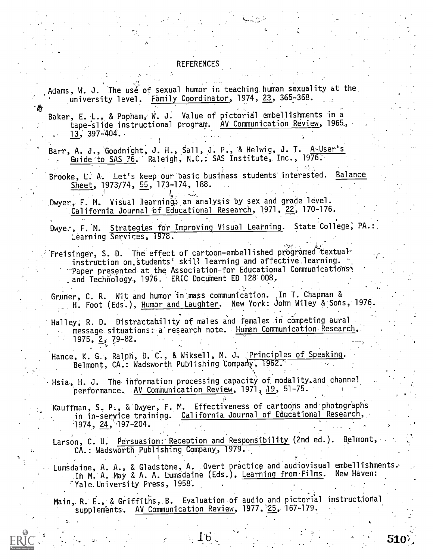#### REFERENCES

Adams, W. J. The use of sexual humor in teaching human sexuality at the. university level. Family Coordinator, 1974, 23, 365-368.

Baker, E. L., & Popham, W. J. Value of pictorial embellishments in a tape-slide instructional program. AV Communication Review, 1965, 13; 397-404..

Barr, A. J., Goodnight, J. H., Sall, J. P., & Helwig, J. T. A<u>kUser's</u> Guide to SAS 76. Raleigh, N.C.: SAS Institute, Inc., 1976:

Brooke, L. A. Let's keep our basic business students interested. Balance Sheet, 1973/74, 55, 173-174, 188.

Dwyer, F. M. Visual learning: an analysis by sex and grade level. California Journal of Educational Research, 1971, 22, 170-176.

Dwyer, F. M. Strategies for Improving Visual Learning. State College, PA.: \_earning Services, 1978. .

Freisinger, S. D. The effect of cartoon-embellished programed textual instruction on\_Students' skill learning and affective ,learning. Paper presented at the Association for Educational Communications? and Technology, 1976. ERIC Document ED 128 008.

Gruner, C. R. Wit and humor in mass communication. In T. Chapman & H. Foot (Eds.), Humor and Laughter. New York: John Wiley & Sons, 1976.

Halley, R. D. Distractability of males and females in competing aural message situations: a research note. Human Communication Research, 1975, 2, 79-82.

Hance, K. G., Ralph, D. C., & Wiksell, M. J. Principles of Speaking. Belmont, CA.: Wadsworth Publishing Company, 1962.

Hsia, H. J. The information processing capacity of modality.and channel performance. AV Communication Review, 1971, 19, 51-75.

Kauffman, S. P., & Dwyer, F. M. Effectiveness of cartoons and photographs in in-service training. California Journal of Educational Research, 1974, 24, 197-204.

Larson, C. U. Persuasion: Reception and Responsibility (2nd ed.). Belmont, CA.: Wadsworth Publishing Company, 1979.

Lumsdaine, A. A., & Gladstone, A. Overt practice and audiovisual embellishments. In M. A. May & A. A. Lumsdaine (Eds.), Learning from Films. Yale University Press, 1958.

510:

Main,. R. E.,' & Griffiths,.B. Evaluation of audio and pictorial instructional supplements. AV Communication Review, 1977, 25, 167-179.

 $\pm 10^{-7}$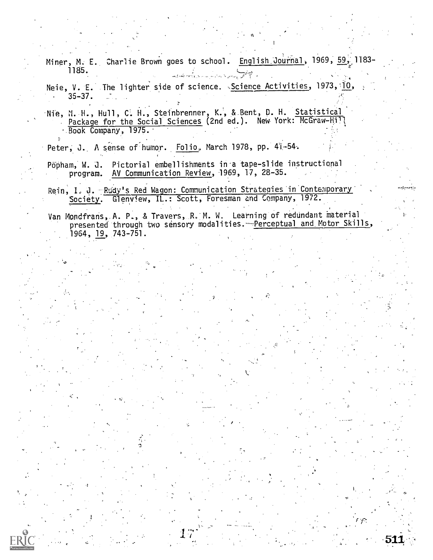Miner, M. E. Charlie Brown goes to school. English Journal, 1969, 59, 1183-1185. أأتم المحافظي للمستوات بسادسا بسادر وكالمعاطفة

Neie, V. E. The lighter side of science. Science Activities, 1973, 10, 35-37.  $\mathbf{r}$  .

Nie, N. H., Hull, C. H., Steinbrenner, K., & Bent, D. H. Statistical Package for the Social Sciences (2nd ed.). New York: McGraw-Hill Book Company, 1975.

Peter, J. A sense of humor. Folio, March 1978, pp. 41-54.

Popham, W. J. Pictorial embellishments in a tape-slide instructional program. AV Communication Review, 1969, 17, 28-35.

Rein, I. J. Rudy's Red Wagon: Communication Strategies in Contemporary 'Society. Glenview, IL.: Scott, Foresman and Company, 1972.

Van Mondfrans, A. P., & Travers, R. M. W. Learning of redundant material presented through two sensory modalities.-Perceptual and Motor Skills, 1964, 19, 743-751.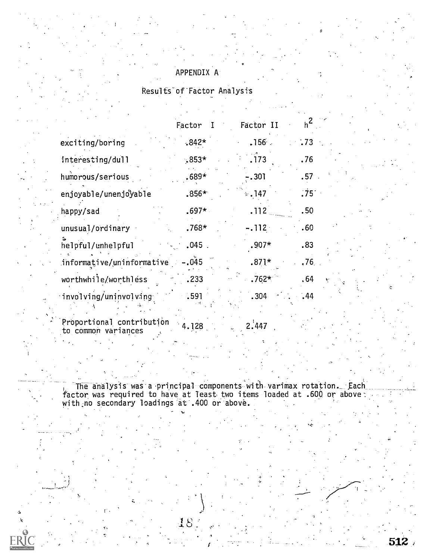### APPENDIX A

### Results of'Factor Analysis

|                                    | Factor   | Factor II  | $h^2$            |
|------------------------------------|----------|------------|------------------|
| exciting/boring                    | $.842*$  | .156       | .73              |
| interesting/dull                   | $.853*$  | .173       | .76              |
| humorous/serious                   | $.689*$  | -.301      | .57 <sub>°</sub> |
| enjoyable/unenjoyable              | $.856*$  | $\div 147$ | .75 <sup>2</sup> |
| happy/sad                          | $.697*$  | .112       | .50 <sub>1</sub> |
| unusual/ordinary                   | $.768*$  | $-.112.$   | .60              |
| helpful/unhelpful                  | $.045$ . | $.907*$    | .83              |
| $informative/uninformative - .045$ |          | $.871*$    | .76.             |
| worthwhile/worthless               | .233     | $.762*$    | .64<br>t.        |
| involving/uninvolving              | .591     | .304       | .44              |

Proportional contribution  $4.128$ to common variances  $4.128$  2.447

ำ

The analysis was a principal components with varimax rotation.  $\ldots$  Each  $\ldots$ factor was required to have at least two items loaded at .600 or above with no secondary loadings at .400 or above. The secondary loadings at .400 or above.

18.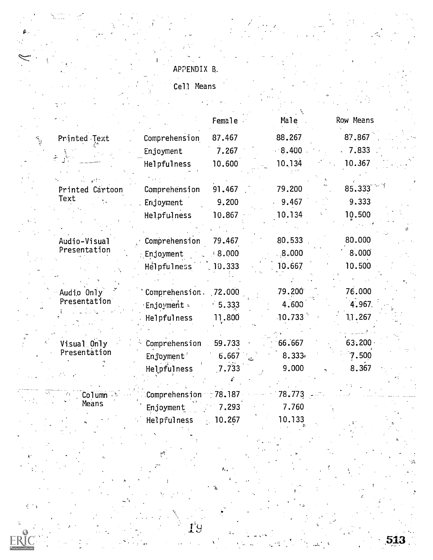### APPENDIX 5\_

Cell Means

j.

|                               |                | Female | Male                | Row Means |
|-------------------------------|----------------|--------|---------------------|-----------|
| Printed Text<br>$\frac{1}{2}$ | Comprehension  | 87.467 | 88.267              | 87.867    |
|                               | Enjoyment      | 7.267  | 8.400               | 7.833     |
|                               | Helpfulness    | 10.600 | 10.134              | 10.367    |
|                               |                |        |                     |           |
| Printed Cartoon<br>Text       | Comprehension  | 91.467 | 79.200              | 85.333    |
|                               | Enjoyment      | 9.200  | 9.467               | 9.333     |
|                               | Helpfulness    | 10.867 | 10.134              | 10.500    |
|                               |                |        |                     |           |
| Audio-Visual                  | Comprehension  | 79.467 | 80.533              | 80.000    |
| Presentation                  | Enjoyment      | 000.8  | 8.000               | 8.000     |
|                               | Helpfulness    | 10.333 | 10.667              | 10.500    |
|                               |                |        |                     |           |
| Audio Only                    | Comprehension. | 72.000 | 79.200              | 76.000    |
| Presentation                  | Enjoyment .    | 5.333  | 4.600               | 4.967.    |
|                               | Helpfulness    | 11.800 | $10.733$ $^{\circ}$ | 11.267    |
| Visual Only                   | Comprehension  | 59.733 | 66.667              | 63.200    |
| Presentation                  | Enjoyment      | 6.667  | 8.333               | 7.500     |
|                               | Helpfulness    | 7.733  | 9.000               | 8.367     |
|                               |                |        |                     |           |
| Column                        | Comprehension  | 78.187 | 78.773              |           |
| Means                         | Enjoyment      | 7.293  | 7.760               |           |
|                               | Helpfulness    | 10.267 | 10.133              |           |

a.

ŀ

H.

 $\mathbf{1}^\circ$ Y

10.133

513.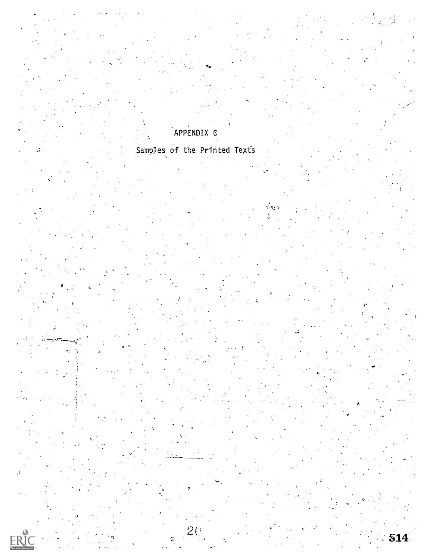# APPENDIX C

# Samples of the Printed Texts

20

÷

 $\sum_{\text{Full fact Proddely ERC}}$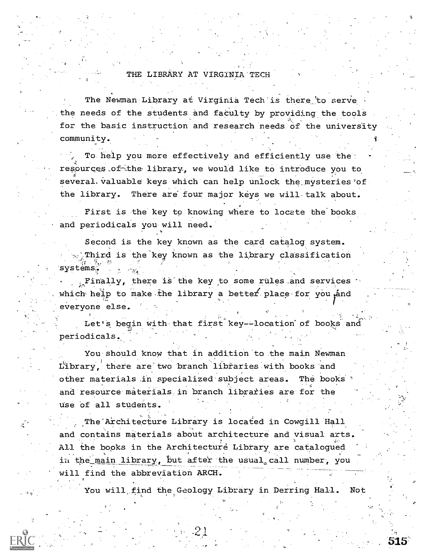#### THE LIBRARY AT VIRGINIA'TECH

The Newman Library at Virginia Tech is there to serve the needs of the students and faculty by providing the tools for the basic instruction and research needs of the university community.

To help you more effectively and efficiently use the: resources.of-Lthe library, we would like to introduce you to several, valuable keys which can help unlock the mysteries of the library. There are four major keys we will-talk about.

First is the key to knowing where to locate the books and periodicals you will need.

Second is the key known as the card catalog system. Third is the key known as the library classification systems-

;.,Finally, there is the key to some rules\_and services which help to make the library a better place for you and everyone else.

Let's begin with that first key--location of books and periodicals.

You should know that in addition'to the main Newman Library, there are two branch libraries with books and other materials in specialized subject areas. The books and resource materials in branch libraries are for the Use of all students.

The Architecture Library is located in Cowgill Hall and contains materials about architecture and visual arts. All the books in the Architecture Library are catalogued in the main library, but after the usual call number, you will find the abbreviation ARCH.

You will find the Geology Library in Derring Hall. Not

. 515'